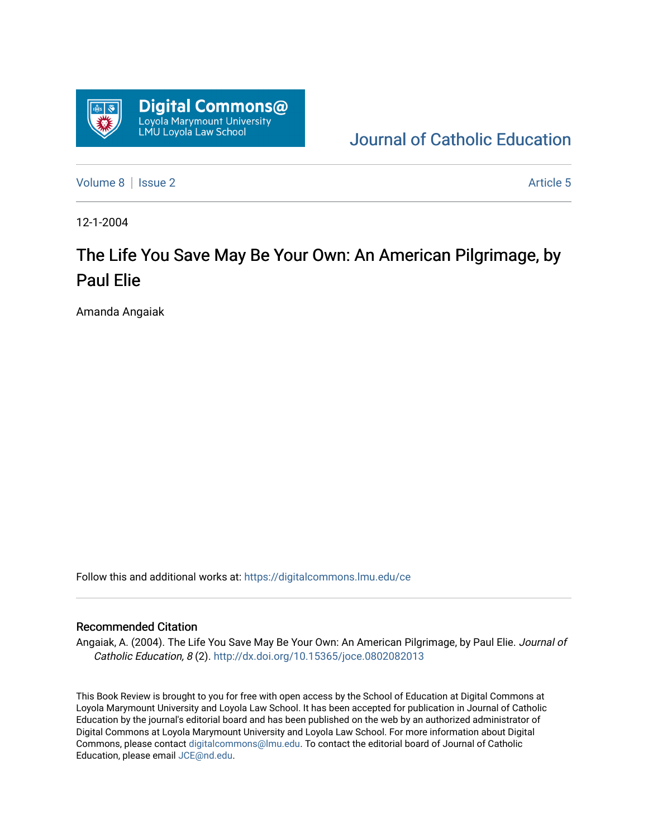

[Journal of Catholic Education](https://digitalcommons.lmu.edu/ce) 

[Volume 8](https://digitalcommons.lmu.edu/ce/vol8) | [Issue 2](https://digitalcommons.lmu.edu/ce/vol8/iss2) Article 5

12-1-2004

# The Life You Save May Be Your Own: An American Pilgrimage, by Paul Elie

Amanda Angaiak

Follow this and additional works at: [https://digitalcommons.lmu.edu/ce](https://digitalcommons.lmu.edu/ce?utm_source=digitalcommons.lmu.edu%2Fce%2Fvol8%2Fiss2%2F5&utm_medium=PDF&utm_campaign=PDFCoverPages)

#### Recommended Citation

Angaiak, A. (2004). The Life You Save May Be Your Own: An American Pilgrimage, by Paul Elie. Journal of Catholic Education, 8 (2). <http://dx.doi.org/10.15365/joce.0802082013>

This Book Review is brought to you for free with open access by the School of Education at Digital Commons at Loyola Marymount University and Loyola Law School. It has been accepted for publication in Journal of Catholic Education by the journal's editorial board and has been published on the web by an authorized administrator of Digital Commons at Loyola Marymount University and Loyola Law School. For more information about Digital Commons, please contact [digitalcommons@lmu.edu.](mailto:digitalcommons@lmu.edu) To contact the editorial board of Journal of Catholic Education, please email [JCE@nd.edu.](mailto:JCE@nd.edu)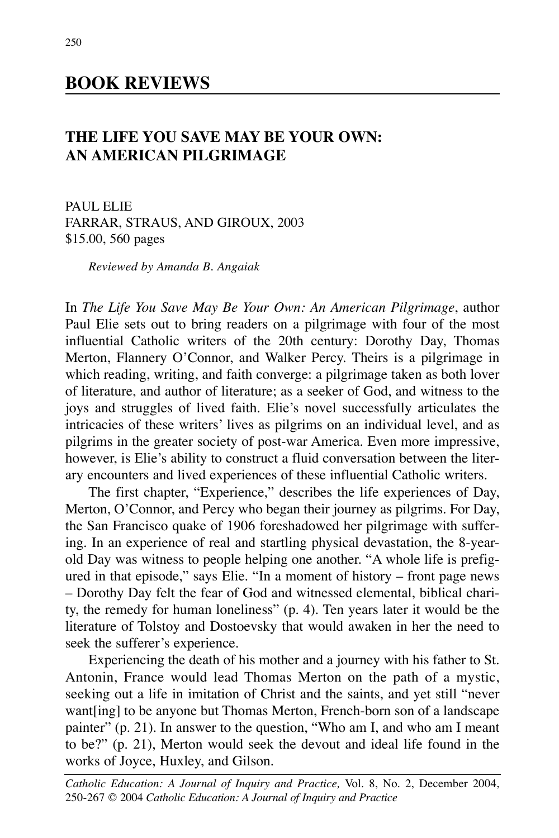## **BOOK REVIEWS**

## **THE LIFE YOU SAVE MAY BE YOUR OWN: AN AMERICAN PILGRIMAGE**

PAUL ELIE FARRAR, STRAUS, AND GIROUX, 2003 \$15.00, 560 pages

*Reviewed by Amanda B. Angaiak*

In *The Life You Save May Be Your Own: An American Pilgrimage*, author Paul Elie sets out to bring readers on a pilgrimage with four of the most influential Catholic writers of the 20th century: Dorothy Day, Thomas Merton, Flannery O'Connor, and Walker Percy. Theirs is a pilgrimage in which reading, writing, and faith converge: a pilgrimage taken as both lover of literature, and author of literature; as a seeker of God, and witness to the joys and struggles of lived faith. Elie's novel successfully articulates the intricacies of these writers' lives as pilgrims on an individual level, and as pilgrims in the greater society of post-war America. Even more impressive, however, is Elie's ability to construct a fluid conversation between the literary encounters and lived experiences of these influential Catholic writers.

The first chapter, "Experience," describes the life experiences of Day, Merton, O'Connor, and Percy who began their journey as pilgrims. For Day, the San Francisco quake of 1906 foreshadowed her pilgrimage with suffering. In an experience of real and startling physical devastation, the 8-yearold Day was witness to people helping one another. "A whole life is prefigured in that episode," says Elie. "In a moment of history – front page news – Dorothy Day felt the fear of God and witnessed elemental, biblical charity, the remedy for human loneliness" (p. 4). Ten years later it would be the literature of Tolstoy and Dostoevsky that would awaken in her the need to seek the sufferer's experience.

Experiencing the death of his mother and a journey with his father to St. Antonin, France would lead Thomas Merton on the path of a mystic, seeking out a life in imitation of Christ and the saints, and yet still "never want[ing] to be anyone but Thomas Merton, French-born son of a landscape painter" (p. 21). In answer to the question, "Who am I, and who am I meant to be?" (p. 21), Merton would seek the devout and ideal life found in the works of Joyce, Huxley, and Gilson.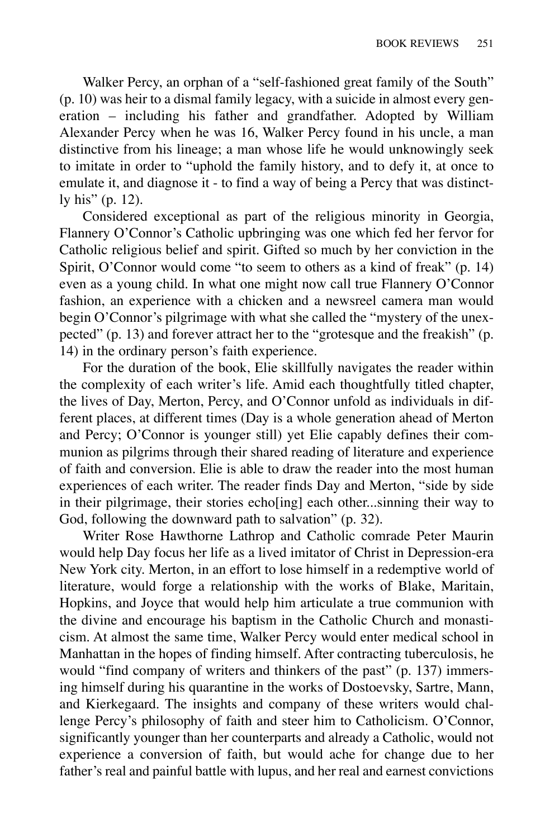Walker Percy, an orphan of a "self-fashioned great family of the South" (p. 10) was heir to a dismal family legacy, with a suicide in almost every generation – including his father and grandfather. Adopted by William Alexander Percy when he was 16, Walker Percy found in his uncle, a man distinctive from his lineage; a man whose life he would unknowingly seek to imitate in order to "uphold the family history, and to defy it, at once to emulate it, and diagnose it - to find a way of being a Percy that was distinctly his" (p. 12).

Considered exceptional as part of the religious minority in Georgia, Flannery O'Connor's Catholic upbringing was one which fed her fervor for Catholic religious belief and spirit. Gifted so much by her conviction in the Spirit, O'Connor would come "to seem to others as a kind of freak" (p. 14) even as a young child. In what one might now call true Flannery O'Connor fashion, an experience with a chicken and a newsreel camera man would begin O'Connor's pilgrimage with what she called the "mystery of the unexpected" (p. 13) and forever attract her to the "grotesque and the freakish" (p. 14) in the ordinary person's faith experience.

For the duration of the book, Elie skillfully navigates the reader within the complexity of each writer's life. Amid each thoughtfully titled chapter, the lives of Day, Merton, Percy, and O'Connor unfold as individuals in different places, at different times (Day is a whole generation ahead of Merton and Percy; O'Connor is younger still) yet Elie capably defines their communion as pilgrims through their shared reading of literature and experience of faith and conversion. Elie is able to draw the reader into the most human experiences of each writer. The reader finds Day and Merton, "side by side in their pilgrimage, their stories echo[ing] each other...sinning their way to God, following the downward path to salvation" (p. 32).

Writer Rose Hawthorne Lathrop and Catholic comrade Peter Maurin would help Day focus her life as a lived imitator of Christ in Depression-era New York city. Merton, in an effort to lose himself in a redemptive world of literature, would forge a relationship with the works of Blake, Maritain, Hopkins, and Joyce that would help him articulate a true communion with the divine and encourage his baptism in the Catholic Church and monasticism. At almost the same time, Walker Percy would enter medical school in Manhattan in the hopes of finding himself. After contracting tuberculosis, he would "find company of writers and thinkers of the past" (p. 137) immersing himself during his quarantine in the works of Dostoevsky, Sartre, Mann, and Kierkegaard. The insights and company of these writers would challenge Percy's philosophy of faith and steer him to Catholicism. O'Connor, significantly younger than her counterparts and already a Catholic, would not experience a conversion of faith, but would ache for change due to her father's real and painful battle with lupus, and her real and earnest convictions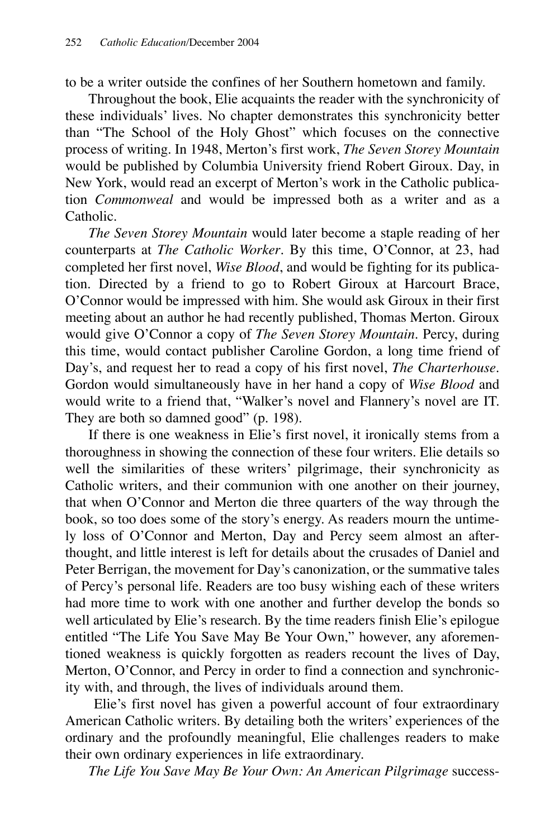to be a writer outside the confines of her Southern hometown and family.

Throughout the book, Elie acquaints the reader with the synchronicity of these individuals' lives. No chapter demonstrates this synchronicity better than "The School of the Holy Ghost" which focuses on the connective process of writing. In 1948, Merton's first work, *The Seven Storey Mountain* would be published by Columbia University friend Robert Giroux. Day, in New York, would read an excerpt of Merton's work in the Catholic publication *Commonweal* and would be impressed both as a writer and as a Catholic.

*The Seven Storey Mountain* would later become a staple reading of her counterparts at *The Catholic Worker*. By this time, O'Connor, at 23, had completed her first novel, *Wise Blood*, and would be fighting for its publication. Directed by a friend to go to Robert Giroux at Harcourt Brace, O'Connor would be impressed with him. She would ask Giroux in their first meeting about an author he had recently published, Thomas Merton. Giroux would give O'Connor a copy of *The Seven Storey Mountain*. Percy, during this time, would contact publisher Caroline Gordon, a long time friend of Day's, and request her to read a copy of his first novel, *The Charterhouse*. Gordon would simultaneously have in her hand a copy of *Wise Blood* and would write to a friend that, "Walker's novel and Flannery's novel are IT. They are both so damned good" (p. 198).

If there is one weakness in Elie's first novel, it ironically stems from a thoroughness in showing the connection of these four writers. Elie details so well the similarities of these writers' pilgrimage, their synchronicity as Catholic writers, and their communion with one another on their journey, that when O'Connor and Merton die three quarters of the way through the book, so too does some of the story's energy. As readers mourn the untimely loss of O'Connor and Merton, Day and Percy seem almost an afterthought, and little interest is left for details about the crusades of Daniel and Peter Berrigan, the movement for Day's canonization, or the summative tales of Percy's personal life. Readers are too busy wishing each of these writers had more time to work with one another and further develop the bonds so well articulated by Elie's research. By the time readers finish Elie's epilogue entitled "The Life You Save May Be Your Own," however, any aforementioned weakness is quickly forgotten as readers recount the lives of Day, Merton, O'Connor, and Percy in order to find a connection and synchronicity with, and through, the lives of individuals around them.

Elie's first novel has given a powerful account of four extraordinary American Catholic writers. By detailing both the writers' experiences of the ordinary and the profoundly meaningful, Elie challenges readers to make their own ordinary experiences in life extraordinary.

*The Life You Save May Be Your Own: An American Pilgrimage* success-